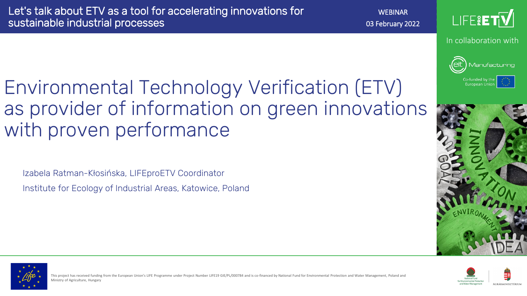with proven performance

Izabela Ratman-Kłosińska, LIFEproETV Coordinator

Institute for Ecology of Industrial Areas, Katowice, Poland

Environmental Technology Verification (ETV)

**WEBINAR** 03 February 2022



In collaboration with



Co-funded by the **European Union** 





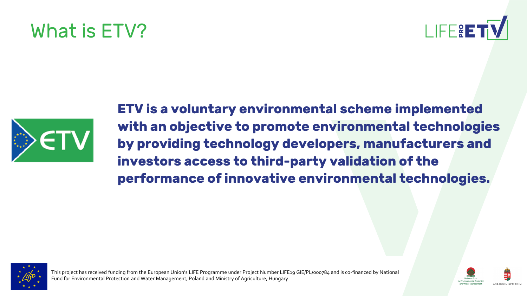### What is ETV?





**ETV is a voluntary environmental scheme implemented with an objective to promote environmental technologies by providing technology developers, manufacturers and investors access to third-party validation of the performance of innovative environmental technologies.** 



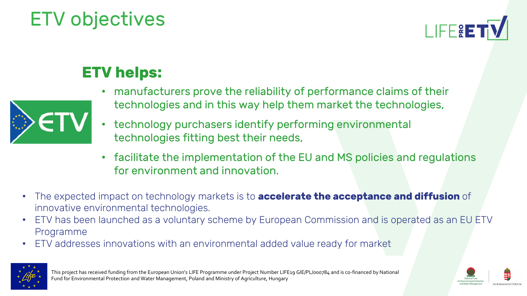### ETV objectives



### **ETV helps:**



- manufacturers prove the reliability of performance claims of their technologies and in this way help them market the technologies,
- technology purchasers identify performing environmental technologies fitting best their needs,
- facilitate the implementation of the EU and MS policies and regulations for environment and innovation.
- The expected impact on technology markets is to **accelerate the acceptance and diffusion** of innovative environmental technologies.
- ETV has been launched as a voluntary scheme by European Commission and is operated as an EU ETV Programme
- ETV addresses innovations with an environmental added value ready for market



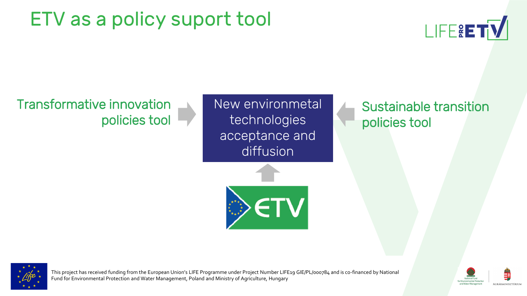### ETV as a policy suport tool



Transformative innovation policies tool New environmetal technologies acceptance and diffusion



Sustainable transition policies tool



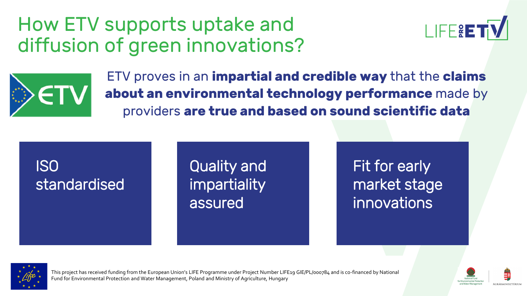### How ETV supports uptake and diffusion of green innovations?





ETV proves in an **impartial and credible way** that the **claims about an environmental technology performance** made by providers **are true and based on sound scientific data** 

### ISO standardised

Quality and **impartiality** assured

Fit for early market stage innovations



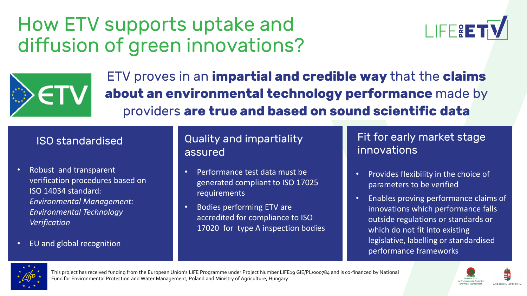### How ETV supports uptake and diffusion of green innovations?





ETV proves in an **impartial and credible way** that the **claims about an environmental technology performance** made by providers **are true and based on sound scientific data** 

- Robust and transparent verification procedures based on ISO 14034 standard*: Environmental Management: Environmental Technology Verification*
- EU and global recognition

#### ISO standardised Quality and impartiality assured

- Performance test data must be generated compliant to ISO 17025 requirements
- Bodies performing ETV are accredited for compliance to ISO 17020 for type A inspection bodies

Fit for early market stage innovations

- Provides flexibility in the choice of parameters to be verified
- Enables proving performance claims of innovations which performance falls outside regulations or standards or which do not fit into existing legislative, labelling or standardised performance frameworks



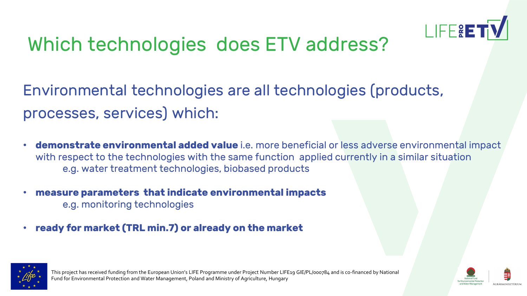

### Which technologies does ETV address?

Environmental technologies are all technologies (products, processes, services) which:

- **demonstrate environmental added value** i.e. more beneficial or less adverse environmental impact with respect to the technologies with the same function applied currently in a similar situation e.g. water treatment technologies, biobased products
- **measure parameters that indicate environmental impacts** e.g. monitoring technologies
- **ready for market (TRL min.7) or already on the market**



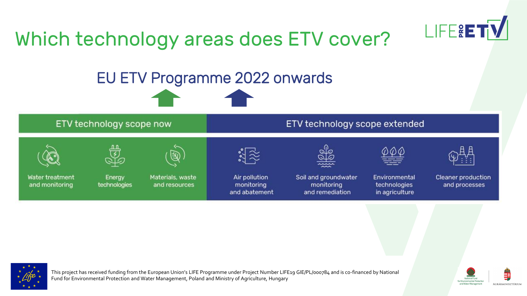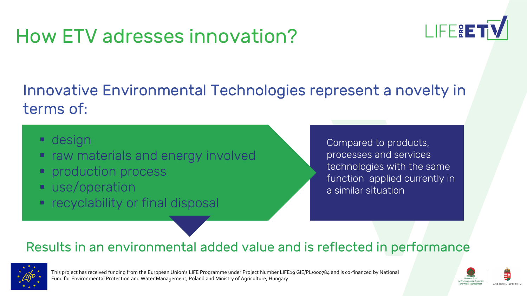### How ETV adresses innovation?



#### Innovative Environmental Technologies represent a novelty in terms of:

- **·** design
- raw materials and energy involved
- **Peroduction process**
- use/operation
- recyclability or final disposal

Compared to products, processes and services technologies with the same function applied currently in a similar situation

#### Results in an environmental added value and is reflected in performance



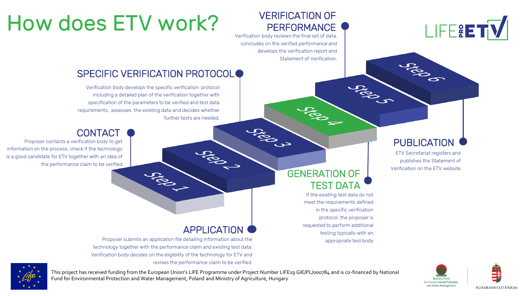

#### VERIFICATION OF **PERFORMANCE**

Verification body reviews the final set of data, concludes on the verified performance and develops the verification report and Statement of Verification.

Jugen

# How does ETV work?

#### SPECIFIC VERIFICATION PROTOCOL<sup>O</sup>

Verification body develops the specific verification protocol including a detailed plan of the verification together with specification of the parameters to be verified and test data requirements, assesses the existing data and decides whether further tests are needed.

#### **CONTACT**

Proposer contacts a verification body to get information on the process, check if the technology is a good candidate for ETV together with an idea of the performance claim to be verified

#### GENERATION OF TEST DATA

**CROSSITION** 

If the existing test data do not meet the requirements defined in the specific verification protocol, the proposer is requested to perform additional testing typically with an appropriate test body

Joseph

#### **PUBLICATION**

**SERIOR** 

ETV Secretariat registers and publishes the Statement of Verification on the ETV website

#### APPLICATION

CROSSIS

Proposer submits an application file detailing information about the technology together with the performance claim and existing test data. Verification body decides on the eligibility of the technology for ETV and revises the performance claim to be verified.

**CREW SERVICE** 



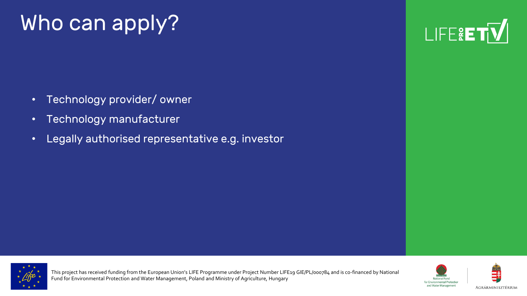# Who can apply?

- Technology provider/ owner
- Technology manufacturer
- Legally authorised representative e.g. investor





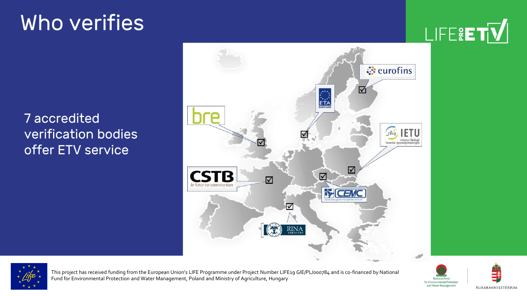# Who verifies

LIFE&ET<mark>V</mark>

7 accredited verification bodies offer ETV service





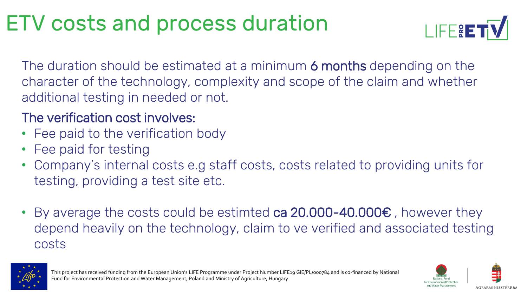# ETV costs and process duration



The duration should be estimated at a minimum 6 months depending on the character of the technology, complexity and scope of the claim and whether additional testing in needed or not.

#### The verification cost involves:

- Fee paid to the verification body
- Fee paid for testing
- Company's internal costs e.g staff costs, costs related to providing units for testing, providing a test site etc.
- By average the costs could be estimted ca 20.000-40.000€ , however they depend heavily on the technology, claim to ve verified and associated testing costs





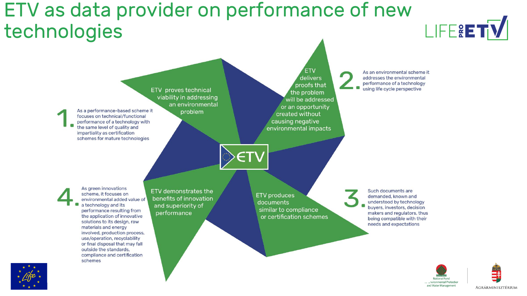### ETV as data provider on performance of new technologies



This project has received funding funding funding funding funding funding funding  $\mathbb{E}[\mathbf{X}]$ 

Fund for Environmental Protection and Water Management, Poland and Ministry of Agriculture, Hungary





LIFERETY

AGRÁRMINISZTÉRIUM